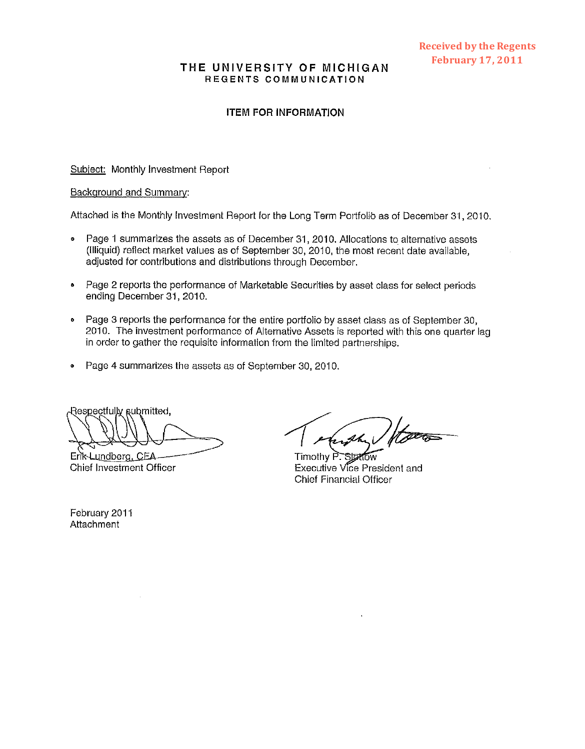#### THE UNIVERSITY OF **MICHIGAN**  REGENTS COMMUNICATION

#### ITEM FOR INFORMATION

Subiect: Monthly investment Report

#### Backqround and Summary:

Attached is the Monthly Investment Report for the Long Term Portfolio as of December 31, 2010.

- Page 1 summarizes the assets as of December 31, 2010. Allocations to alternative assets  $\bullet$ (Illiquid) reflect market values as of September 30, 2010, the most recent date available, adjusted for contributions and distributions through December.
- **Page 2 reports the performance of Marketable Securities by asset class for select periods** ending December 31,2010.
- Page 3 reports the performance for the entire portfolio by asset class as of September 30, 2010. The investment performance of Alternative Assets is reported with this one quarter lag in order to gather the requisite information from the limited partnerships.
- *<sup>0</sup>*Page **4** summarizes the assets as of September 30, 2010.

Respectfully submitted,

Erik-Lundberg, CEA Chief Investment Officer

ush

**Startow** Timothy P. Executive Vice President and Chief Financial Officer

February 2011 **Attachment**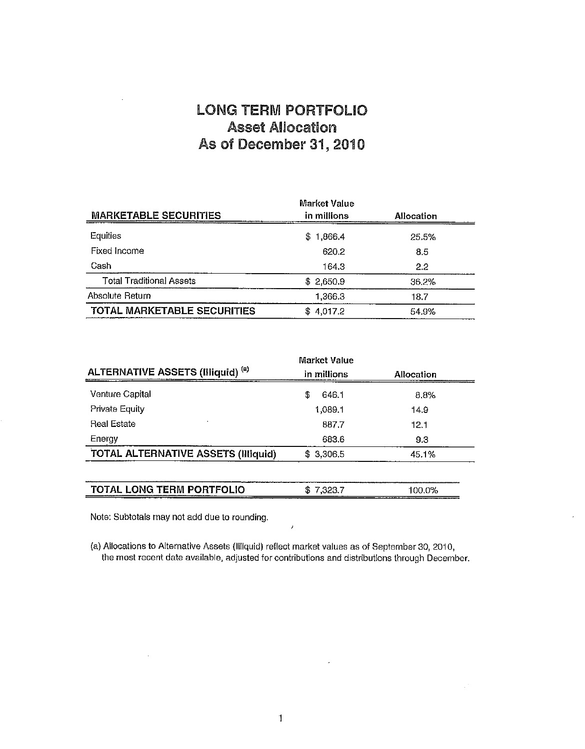### **LONG TERM PORTFOLIO Asset** Ailoeation **As of December 31,201 0**

| <b>MARKETABLE SECURITIES</b>       | Market Value<br>in millions | Allocation |
|------------------------------------|-----------------------------|------------|
| Equities                           | \$1,866.4                   | 25.5%      |
| Fixed Income                       | 620.2                       | 8.5        |
| Cash                               | 164.3                       | 2.2        |
| <b>Total Traditional Assets</b>    | \$2.650.9                   | 36.2%      |
| Absolute Return                    | 1.366.3                     | 18.7       |
| <b>TOTAL MARKETABLE SECURITIES</b> | 4.017.2<br>\$               | 54.9%      |

| ALTERNATIVE ASSETS (Illiquid) <sup>(a)</sup> | Market Value<br>in millions | <b>Allocation</b> |
|----------------------------------------------|-----------------------------|-------------------|
| <b>Venture Capital</b>                       | S<br>646.1                  | 8.8%              |
| <b>Private Equity</b>                        | 1,089.1                     | 14.9              |
| <b>Real Estate</b>                           | 887.7                       | 12.1              |
| Energy                                       | 683.6                       | 9.3               |
| <b>TOTAL ALTERNATIVE ASSETS (Illiquid)</b>   | \$3,306.5                   | 45.1%             |
| TOTAL LONG TERM PORTFOLIO                    | \$7,323.7                   | 100.0%            |

Note: Subtotals may not add due to rounding.

 $\bar{z}$ 

(a) Allocations to Alternative Assets (Illiquid) reflect market values as of September 30, 2010, the most recent date available, adjusted for contributions and distributions through December.

 $\prime$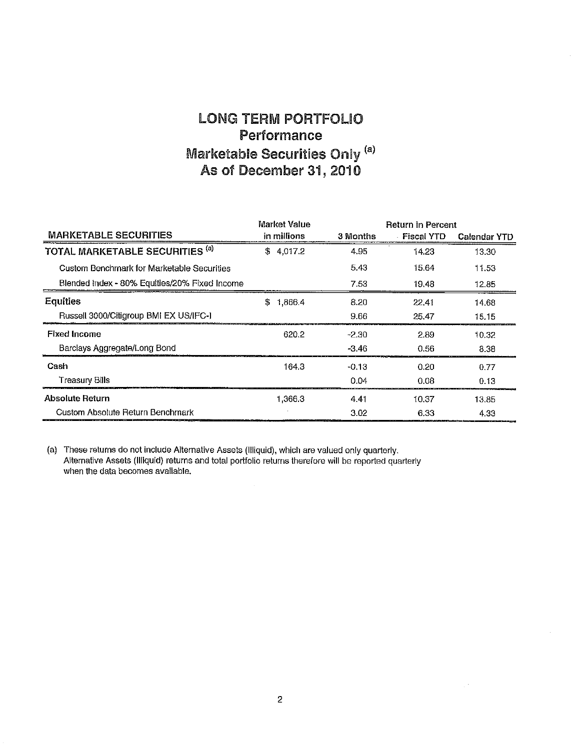## LONG TERM PORTFOLIO **Performance Marketable Securities Only (a) As of December 31,201 0**

|                                               | <b>Market Value</b> |          | <b>Return in Percent</b> |              |
|-----------------------------------------------|---------------------|----------|--------------------------|--------------|
| <b>MARKETABLE SECURITIES</b>                  | in millions         | 3 Months | - Fiscal YTD             | Calendar YTD |
| TOTAL MARKETABLE SECURITIES <sup>(a)</sup>    | \$4,017.2           | 4.95     | 14.23                    | 13.30        |
| Custom Benchmark for Marketable Securities    |                     | 5.43     | 15.64                    | 11.53        |
| Blended Index - 80% Equities/20% Fixed Income |                     | 7.53     | 19,48                    | 12.85        |
| Equities                                      | \$<br>1.866.4       | 8.20     | 22.41                    | 14.68        |
| Russell 3000/Citigroup BMI EX US/IFC-I        |                     | 9.66     | 25.47                    | 15.15        |
| <b>Fixed Income</b>                           | 620.2               | $-2.30$  | 2.89                     | 10.32        |
| Barclays Aggregate/Long Bond                  |                     | $-3.46$  | 0.56                     | 8.38         |
| Cash                                          | 164.3               | $-0.13$  | 0.20                     | 0.77         |
| Treasury Bills                                |                     | 0.04     | 0.08                     | 0.13         |
| <b>Absolute Return</b>                        | 1.366.3             | 4.41     | 10.37                    | 13.85        |
| Custom Absolute Return Benchmark              |                     | 3.02     | 6.33                     | 4.33         |

(a) These returns do not include Alternative Assets (Illiquid), which are valued only quarterly. Alternative Assets (Illiquid) returns and total portfolio returns therefore will be reported quarterly when the data becomes available.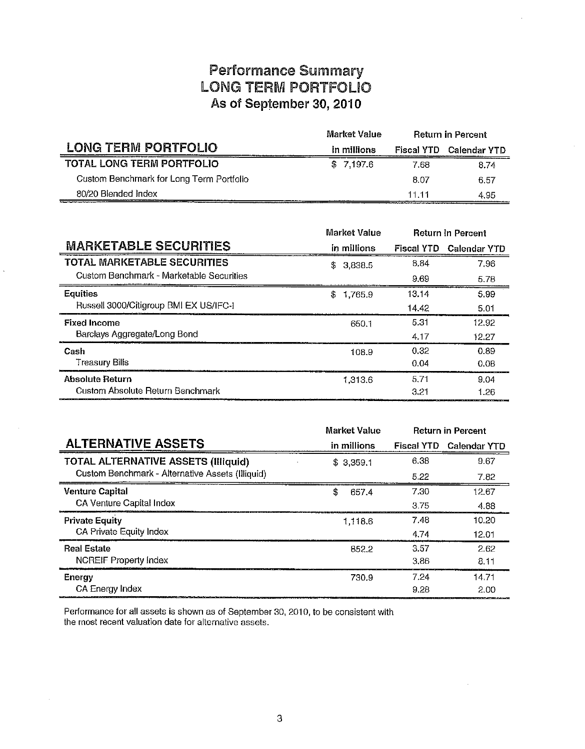## **Performance** Summary LONG **BERM** PORTFOLIO **As of September 30, 201 0**

|                                          | Market Value | <b>Return in Percent</b> |              |
|------------------------------------------|--------------|--------------------------|--------------|
| LONG TERM PORTFOLIO                      | in millions  | <b>Fiscal YTD</b>        | Calendar YTD |
| <b>TOTAL LONG TERM PORTFOLIO</b>         | \$7.197.6    | 7.68                     | 8.74         |
| Custom Benchmark for Long Term Portfolio |              | 8.07                     | 6.57         |
| 80/20 Blended Index                      |              | 11 11                    | 4.95         |

|                                          | Market Value  |       |                   | <b>Return in Percent</b> |
|------------------------------------------|---------------|-------|-------------------|--------------------------|
| <b>MARKETABLE SECURITIES</b>             | in millions   |       | <b>Fiscal YTD</b> | Calendar YTD             |
| TOTAL MARKETABLE SECURITIES              | \$3.838.5     |       | 8.84              | 7.96                     |
| Custom Benchmark - Marketable Securities |               |       | 9.69              | 5.78                     |
| <b>Equities</b>                          | \$<br>1,765.9 |       | 13.14             | 5.99                     |
| Russell 3000/Citigroup BMI EX US/IFC-I   |               |       | 14.42             | 5.01                     |
| <b>Fixed Income</b>                      |               | 650.1 | 5.31              | 12.92                    |
| Barclays Aggregate/Long Bond             |               |       | 4.17              | 12.27                    |
| Cash                                     |               | 108.9 | 0.32              | 0.89                     |
| Treasury Bills                           |               |       | 0.04              | 0.08                     |
| <b>Absolute Return</b>                   | 1,313.6       |       | 5.71              | 9.04                     |
| Custom Absolute Return Benchmark         |               |       | 3.21              | 1.26                     |

|                                                  | Market Value |                   | <b>Return in Percent</b> |
|--------------------------------------------------|--------------|-------------------|--------------------------|
| <b>ALTERNATIVE ASSETS</b>                        | in millions  | <b>Fiscal YTD</b> | <b>Calendar YTD</b>      |
| <b>TOTAL ALTERNATIVE ASSETS (Illiquid)</b>       | \$3.359.1    | 6.38              | 9.67                     |
| Custom Benchmark - Alternative Assets (Illiquid) |              | 5.22              | 7.82                     |
| <b>Venture Capital</b>                           | \$<br>657.4  | 7.30              | 12.67                    |
| CA Venture Capital Index                         |              | 3.75              | 4.88                     |
| <b>Private Equity</b>                            | 1.118.6      | 7.48              | 10.20                    |
| CA Private Equity Index                          |              | 4.74              | 12.01                    |
| <b>Real Estate</b>                               | 852.2        | 3.57              | 2.62                     |
| NCREIF Property Index                            |              | 3.86              | 8.11                     |
| Energy                                           | 730.9        | 7.24              | 14.71                    |
| CA Energy Index                                  |              | 9.28              | 2.00                     |

Performance for all assets is shown as of September 30, 2010, to be consistent with the most recent valuation date for alternative assets.